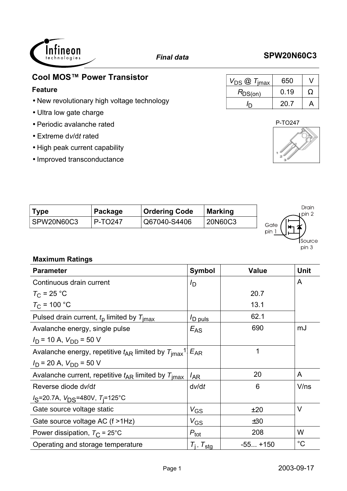# **Cool MOS**<sup>™</sup> Power Transistor

### **Feature**

 $\sim$ 

- New revolutionary high voltage technology
- Ultra low gate charge

İnfineon nologies

- Periodic avalanche rated
- Extreme d*v*/d*t* rated
- High peak current capability
- Improved transconductance

| Type       | Package | <b>Ordering Code</b> | <b>Marking</b> | Drain<br>· pin '∠ |
|------------|---------|----------------------|----------------|-------------------|
| SPW20N60C3 | P-TO247 | Q67040-S4406         | 20N60C3        | Gate              |
|            |         |                      |                | pin               |

## **Maximum Ratings**

| <b>Parameter</b>                                                                         | <b>Symbol</b>            | <b>Value</b> | <b>Unit</b> |
|------------------------------------------------------------------------------------------|--------------------------|--------------|-------------|
| Continuous drain current                                                                 | $I_{\mathsf{D}}$         |              | A           |
| $T_{\rm C}$ = 25 °C                                                                      |                          | 20.7         |             |
| $T_{C}$ = 100 °C                                                                         |                          | 13.1         |             |
| Pulsed drain current, $tp$ limited by $Timax$                                            | D puls                   | 62.1         |             |
| Avalanche energy, single pulse                                                           | $E_{AS}$                 | 690          | mJ          |
| $I_D$ = 10 A, $V_{DD}$ = 50 V                                                            |                          |              |             |
| Avalanche energy, repetitive $t_{AR}$ limited by $T_{\text{imax}}$ <sup>1</sup> $E_{AR}$ |                          | 1            |             |
| $I_D$ = 20 A, $V_{DD}$ = 50 V                                                            |                          |              |             |
| Avalanche current, repetitive $t_{AR}$ limited by $T_{\text{imax}}$                      | $I_{AR}$                 | 20           | A           |
| Reverse diode dv/dt                                                                      | dv/dt                    | 6            | V/ns        |
| $I_S$ =20.7A, $V_{DS}$ =480V, $T_i$ =125°C                                               |                          |              |             |
| Gate source voltage static                                                               | $V_{GS}$                 | ±20          | $\vee$      |
| Gate source voltage AC (f >1Hz)                                                          | $V_{GS}$                 | ±30          |             |
| Power dissipation, $T_{\rm C}$ = 25°C                                                    | $P_{\text{tot}}$         | 208          | W           |
| Operating and storage temperature                                                        | $T_i$ , $T_{\text{stq}}$ | $-55+150$    | $^{\circ}C$ |

# *Final data* **SPW20N60C3**

| $V_{DS}$ $\textcircled{1}$ $T_{\text{imax}}$ | 650  |   |
|----------------------------------------------|------|---|
| $R_{DS(0n)}$                                 | 0.19 | Ω |
|                                              | 20.7 |   |



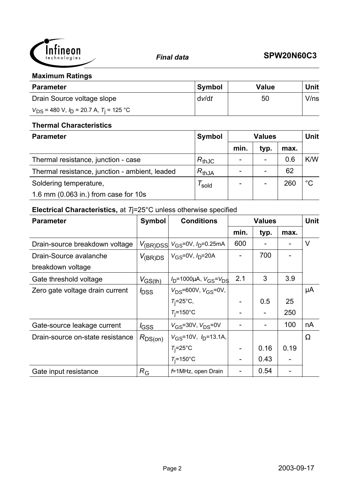

### **Maximum Ratings**

| <b>Parameter</b>                                 | <b>Symbol</b> | <b>Value</b> | Unit |
|--------------------------------------------------|---------------|--------------|------|
| Drain Source voltage slope                       | dv/dt         | 50           | V/ns |
| $V_{DS}$ = 480 V, $I_D$ = 20.7 A, $T_i$ = 125 °C |               |              |      |

### **Thermal Characteristics**

| <b>Parameter</b>                               | Symbol     | <b>Values</b> |                          |      | <b>Unit</b> |
|------------------------------------------------|------------|---------------|--------------------------|------|-------------|
|                                                |            | min.          | typ.                     | max. |             |
| Thermal resistance, junction - case            | $R_{thJC}$ |               | $\overline{\phantom{0}}$ | 0.6  | K/W         |
| Thermal resistance, junction - ambient, leaded | $R_{thJA}$ |               |                          | 62   |             |
| Soldering temperature,                         | sold       |               |                          | 260  | $^{\circ}C$ |
| 1.6 mm (0.063 in.) from case for 10s           |            |               |                          |      |             |

# **Electrical Characteristics,** at *T*j=25°C unless otherwise specified

| <b>Parameter</b>                 | <b>Symbol</b>       | <b>Conditions</b>                                       |      | <b>Values</b>            |      | <b>Unit</b> |
|----------------------------------|---------------------|---------------------------------------------------------|------|--------------------------|------|-------------|
|                                  |                     |                                                         | min. | typ.                     | max. |             |
| Drain-source breakdown voltage   |                     | $V_{\rm (BR)DSS}$ $V_{\rm GS}$ =0V, $I_{\rm D}$ =0.25mA | 600  |                          |      | $\vee$      |
| Drain-Source avalanche           | $V_{(\text{BR})DS}$ | $ V_{GS}$ =0V, $I_{D}$ =20A                             |      | 700                      |      |             |
| breakdown voltage                |                     |                                                         |      |                          |      |             |
| Gate threshold voltage           | $V_{GS(th)}$        | $V_D$ =1000µA, $V_{GS} = V_{DS}$                        | 2.1  | 3                        | 3.9  |             |
| Zero gate voltage drain current  | $I_{\text{DSS}}$    | $V_{DS} = 600V$ , $V_{GS} = 0V$ ,                       |      |                          |      | μA          |
|                                  |                     | $T_i = 25^\circ \text{C}$                               |      | 0.5                      | 25   |             |
|                                  |                     | $T_i = 150$ °C                                          |      | $\overline{\phantom{a}}$ | 250  |             |
| Gate-source leakage current      | $I_{\text{GSS}}$    | $V_{GS}$ =30V, $V_{DS}$ =0V                             |      |                          | 100  | nA          |
| Drain-source on-state resistance | $R_{DS(on)}$        | $V_{GS}$ =10V, $I_D$ =13.1A,                            |      |                          |      | $\Omega$    |
|                                  |                     | $T_i = 25^\circ \text{C}$                               |      | 0.16                     | 0.19 |             |
|                                  |                     | $T_i = 150$ °C                                          |      | 0.43                     |      |             |
| Gate input resistance            | $R_{\rm G}$         | $f=1$ MHz, open Drain                                   |      | 0.54                     |      |             |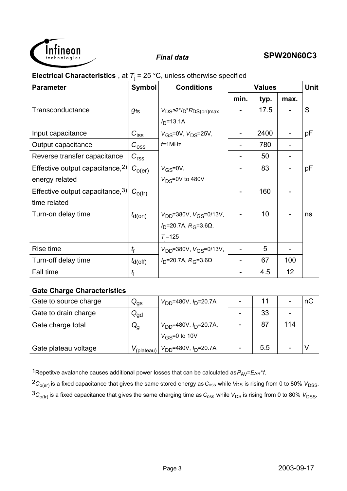

## **Electrical Characteristics**, at  $T_j = 25$  °C, unless otherwise specified

| <b>Parameter</b>                    | <b>Symbol</b><br><b>Conditions</b> |                                                       |      | <b>Values</b> |                 |    |
|-------------------------------------|------------------------------------|-------------------------------------------------------|------|---------------|-----------------|----|
|                                     |                                    |                                                       | min. | typ.          | max.            |    |
| Transconductance                    | $g_{fs}$                           | $V_{DS} \geq 2^{*}/D^{*}R_{DS(on)max}$                |      | 17.5          |                 | S  |
|                                     |                                    | $ID=13.1A$                                            |      |               |                 |    |
| Input capacitance                   | $C_{\text{iss}}$                   | $V_{GS} = 0V$ , $V_{DS} = 25V$ ,                      |      | 2400          |                 | рF |
| Output capacitance                  | $C_{\rm{oss}}$                     | $f=1$ MHz                                             |      | 780           | -               |    |
| Reverse transfer capacitance        | $C_{\text{rss}}$                   |                                                       |      | 50            |                 |    |
| Effective output capacitance, $2$ ) | $C_{O(\text{er})}$                 | $V_{GS} = 0V$ ,                                       |      | 83            |                 | рF |
| energy related                      |                                    | $V_{DS} = 0V$ to 480V                                 |      |               |                 |    |
| Effective output capacitance, $3$ ) | $C_{O(tr)}$                        |                                                       |      | 160           |                 |    |
| time related                        |                                    |                                                       |      |               |                 |    |
| Turn-on delay time                  | $t_{d(on)}$                        | $V_{DD}$ =380V, $V_{GS}$ =0/13V,                      |      | 10            |                 | ns |
|                                     |                                    | $I_{\text{D}}$ =20.7A, $R_{\text{G}}$ =3.6 $\Omega$ , |      |               |                 |    |
|                                     |                                    | $T_{i} = 125$                                         |      |               |                 |    |
| Rise time                           | $t_{\sf r}$                        | $V_{DD} = 380V$ , $V_{GS} = 0/13V$ ,                  |      | 5             |                 |    |
| Turn-off delay time                 | $t_{d(off)}$                       | $I_{\text{D}}$ =20.7A, $R_{\text{G}}$ =3.6 $\Omega$   |      | 67            | 100             |    |
| Fall time                           | t                                  |                                                       |      | 4.5           | 12 <sub>2</sub> |    |

### **Gate Charge Characteristics**

| Gate to source charge | $Q_{\rm{gs}}$              | $V_{DD}$ =480V, $I_D$ =20.7A                  |     |     | пC |
|-----------------------|----------------------------|-----------------------------------------------|-----|-----|----|
| Gate to drain charge  | $Q_{\text{gd}}$            |                                               | 33  |     |    |
| Gate charge total     | $Q_{q}$                    | $V_{\text{DD}}$ =480V, $I_{\text{D}}$ =20.7A, | 87  | 114 |    |
|                       |                            | $V_{\rm{GS}}$ =0 to 10V                       |     |     |    |
| Gate plateau voltage  | ⊥ V <sub>(plateau)</sub> ⊢ | $V_{DD} = 480V, I_D = 20.7A$                  | 5.5 |     |    |

1Repetitve avalanche causes additional power losses that can be calculated as  $P_{AV} = E_{AR} * f$ .

 ${}^2C_{O(er)}$  is a fixed capacitance that gives the same stored energy as  $C_{\rm oss}$  while  $V_{DS}$  is rising from 0 to 80%  $V_{DSS}$ .

 ${}^3C_{O(tr)}$  is a fixed capacitance that gives the same charging time as  $C_{\text{oss}}$  while  $V_{DS}$  is rising from 0 to 80%  $V_{DSS}$ .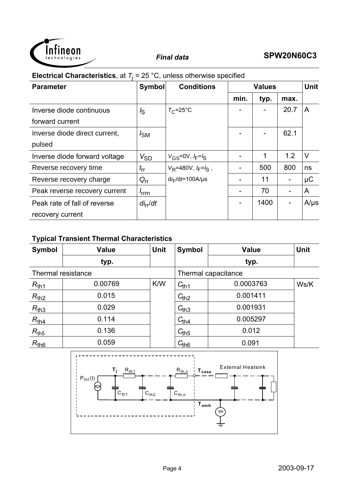

## **Electrical Characteristics**, at  $T_i = 25 \text{ °C}$ , unless otherwise specified

| <b>Parameter</b>              | <b>Symbol</b>        | <b>Conditions</b>               | <b>Values</b> |      | <b>Unit</b> |           |
|-------------------------------|----------------------|---------------------------------|---------------|------|-------------|-----------|
|                               |                      |                                 | min.          | typ. | max.        |           |
| Inverse diode continuous      | $I_{\rm S}$          | $T_{\rm C}$ =25°C               |               |      | 20.7        | A         |
| forward current               |                      |                                 |               |      |             |           |
| Inverse diode direct current, | $I_{SM}$             |                                 |               |      | 62.1        |           |
| pulsed                        |                      |                                 |               |      |             |           |
| Inverse diode forward voltage | $V_{SD}$             | $V_{\rm GS} = 0V$ , $I_F = I_S$ |               | 1    | 1.2         | $\vee$    |
| Reverse recovery time         | $t_{\rm rr}$         | $V_R$ =480V, $I_F = I_S$ ,      |               | 500  | 800         | ns        |
| Reverse recovery charge       | $Q_{rr}$             | $di_F/dt = 100A/\mu s$          |               | 11   |             | $\mu$ C   |
| Peak reverse recovery current | <i>I</i> rrm         |                                 |               | 70   |             | A         |
| Peak rate of fall of reverse  | di <sub>rr</sub> /dt |                                 |               | 1400 |             | $A/\mu s$ |
| recovery current              |                      |                                 |               |      |             |           |

### **Typical Transient Thermal Characteristics**

| <b>Symbol</b>      | <b>Value</b><br><b>Unit</b> |     | <b>Symbol</b> | <b>Value</b>        | <b>Unit</b> |
|--------------------|-----------------------------|-----|---------------|---------------------|-------------|
|                    | typ.                        |     |               | typ.                |             |
| Thermal resistance |                             |     |               | Thermal capacitance |             |
| $R_{th1}$          | 0.00769                     | K/W | $C_{th1}$     | 0.0003763           | Ws/K        |
| $R_{th2}$          | 0.015                       |     | $C_{th2}$     | 0.001411            |             |
| $R_{th3}$          | 0.029                       |     | $C_{th3}$     | 0.001931            |             |
| $R_{th4}$          | 0.114                       |     | $C_{th4}$     | 0.005297            |             |
| $R_{th5}$          | 0.136                       |     | $C_{th5}$     | 0.012               |             |
| $R_{th6}$          | 0.059                       |     | $C_{th6}$     | 0.091               |             |

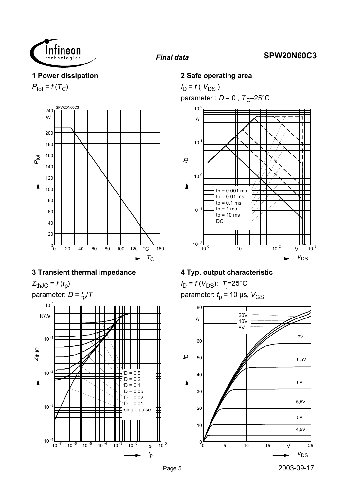

### **1 Power dissipation**

 $P_{\text{tot}} = f(T_C)$ 



## **3 Transient thermal impedance**

 $Z_{thJC} = f(t_p)$ 





### **2 Safe operating area**

 $I_D = f(V_{DS})$ parameter :  $D = 0$ ,  $T_C = 25^{\circ}C$ 



### **4 Typ. output characteristic**

*I*<sub>D</sub> = *f* (*V*<sub>DS</sub>); *T*<sub>j</sub>=25°C parameter:  $t_p$  = 10 µs,  $V_{GS}$ 

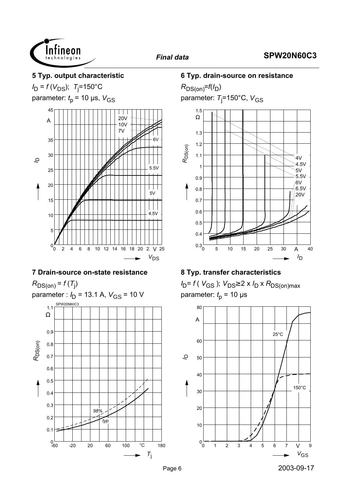

### **5 Typ. output characteristic**

*I*<sub>D</sub> = *f* (*V*<sub>DS</sub>); *T*<sub>j</sub>=150°C

parameter:  $t<sub>p</sub>$  = 10 µs,  $V<sub>GS</sub>$ 



### **7 Drain-source on-state resistance**

 $R_{DS(on)} = f(T_j)$ 



### **6 Typ. drain-source on resistance**

 $R_{DS(on)}=f(I_D)$ parameter: *T*<sub>j</sub>=150°C, V<sub>GS</sub>



### **8 Typ. transfer characteristics**

*I*<sub>D</sub>= *f* ( *V*<sub>GS</sub> ); *V*<sub>DS</sub>≥ 2 x *I*<sub>D</sub> x *R*<sub>DS(on)max</sub> parameter:  $t_p$  = 10 µs

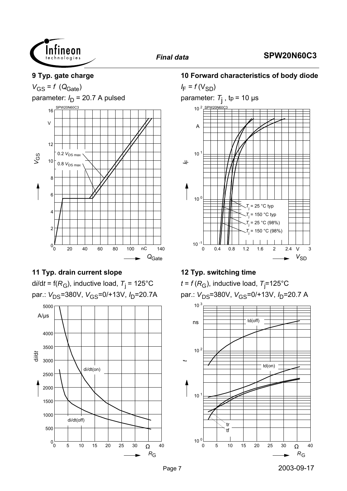

### **9 Typ. gate charge**

 $V_{GS} = f (Q_{Gate})$ 

parameter:  $I_D$  = 20.7 A pulsed



## **11 Typ. drain current slope**

d*i*/d*t* = f(*R*<sub>G</sub>), inductive load, *T*<sub>j</sub> = 125°C par.: V<sub>DS</sub>=380V, V<sub>GS</sub>=0/+13V, I<sub>D</sub>=20.7A



### **10 Forward characteristics of body diode**

 $I_F = f(V_{SD})$ parameter: *T*j , tp = 10 µs 0 0.4 0.8 1.2 1.6 2 2.4 V 3  $V_{SD}$  $10^{-1}$   $\frac{1}{0}$  $10<sup>0</sup>$ 10  $10<sup>1</sup>$ A SPW20N60C3 <sup>I</sup><sup>F</sup> *T*j  $= 25 °C$  typ *T*j = 25 °C (98%) *T*j 150 °C typ *T*j = 150 °C (98%)

### **12 Typ. switching time**

 $t$  = *f* ( $R_{\rm G}$ ), inductive load,  $\rm \tau_j$ =125°C par.:  $V_{DS}$ =380V,  $V_{GS}$ =0/+13V,  $I_D$ =20.7 A

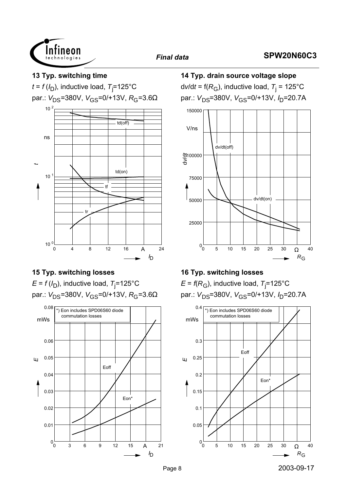



## **15 Typ. switching losses**

 $E$  = *f* (/<sub>D</sub>), inductive load,  $T_{\rm j}$ =125°C par.:  $V_{DS}$ =380V,  $V_{GS}$ =0/+13V,  $R_G$ =3.6Ω



**14 Typ. drain source voltage slope**

d*v*/d*t* = f(*R*<sub>G</sub>), inductive load, *T*<sub>j</sub> = 125°C par.: V<sub>DS</sub>=380V, V<sub>GS</sub>=0/+13V, I<sub>D</sub>=20.7A



## **16 Typ. switching losses**

 $\mathsf E$  = *f*(R<sub>G</sub>), inductive load, T<sub>j</sub>=125°C par.:  $V_{DS}$ =380V,  $V_{GS}$ =0/+13V,  $I_D$ =20.7A

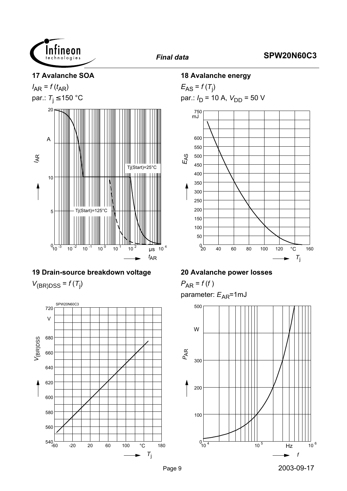

### **17 Avalanche SOA**





# **19 Drain-source breakdown voltage**  $V_{(BR)DSS} = f(T_j)$



### **18 Avalanche energy**

 $E_{AS} = f(T_j)$ par.:  $I_D$  = 10 A,  $V_{DD}$  = 50 V



## **20 Avalanche power losses**

 $P_{AR} = f(f)$ parameter:  $E_{AR}$ =1mJ

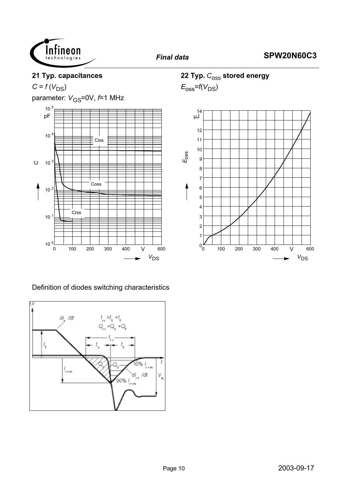

### **21 Typ. capacitances**

 $C = f(V_{DS})$ 

parameter:  $V_{\text{GS}} = 0V$ ,  $f = 1$  MHz



## 22 Typ.  $C_{\text{OSS}}$  stored energy

 $E_{\rm oss}$ = $f(V_{\rm DS})$ 



Definition of diodes switching characteristics

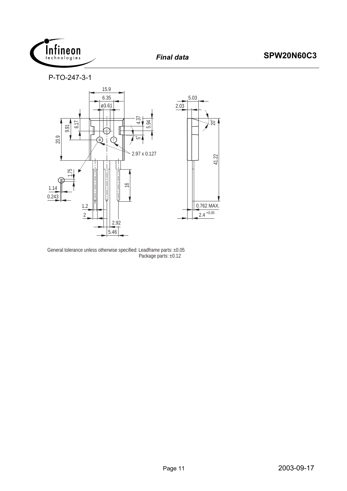

P-TO-247-3-1



General tolerance unless otherwise specified: Leadframe parts: ±0.05 Package parts: ±0.12